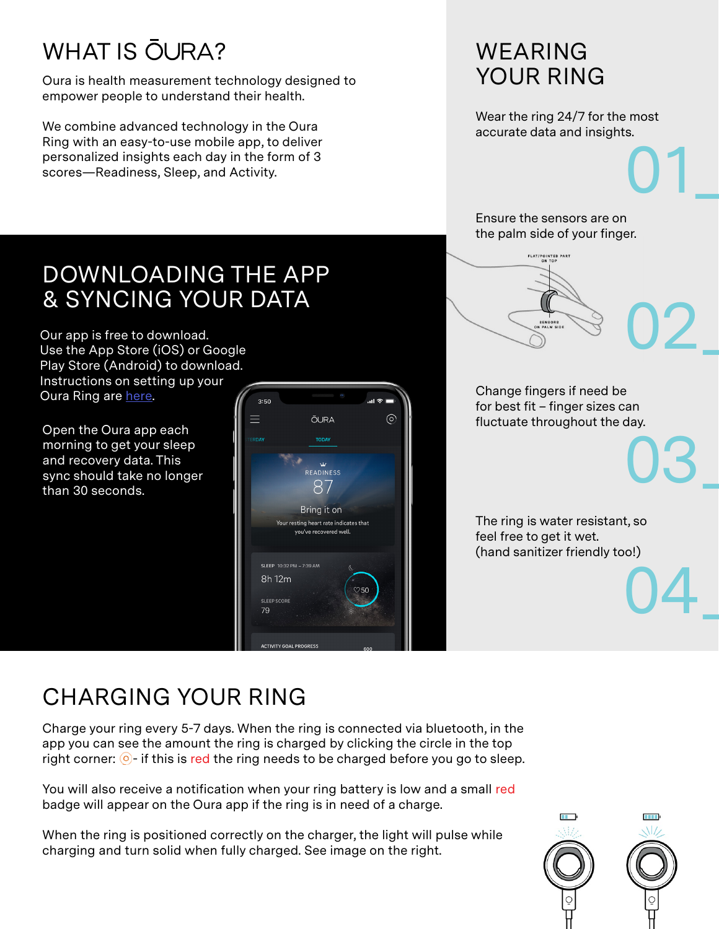# **WHAT IS OURA?**

Oura is health measurement technology designed to empower people to understand their health.

We combine advanced technology in the Oura Ring with an easy-to-use mobile app, to deliver personalized insights each day in the form of 3 scores—Readiness, Sleep, and Activity.

# WEARING YOUR RING

Wear the ring 24/7 for the most accurate data and insights.

01\_

03\_

04\_

Ensure the sensors are on the palm side of your finger.

FLAT/POINTED PART

# DOWNLOADING THE APP & SYNCING YOUR DATA

Our app is free to download. Use the App Store (iOS) or Google Play Store (Android) to download. Instructions on setting up your Oura Ring are here.

Open the Oura app each morning to get your sleep and recovery data. This sync should take no longer than 30 seconds.





for best fit – finger sizes can fluctuate throughout the day.

The ring is water resistant, so feel free to get it wet. (hand sanitizer friendly too!)

# CHARGING YOUR RING

Charge your ring every 5-7 days. When the ring is connected via bluetooth, in the app you can see the amount the ring is charged by clicking the circle in the top right corner:  $\odot$ - if this is red the ring needs to be charged before you go to sleep.

You will also receive a notification when your ring battery is low and a small red badge will appear on the Oura app if the ring is in need of a charge.

When the ring is positioned correctly on the charger, the light will pulse while charging and turn solid when fully charged. See image on the right.

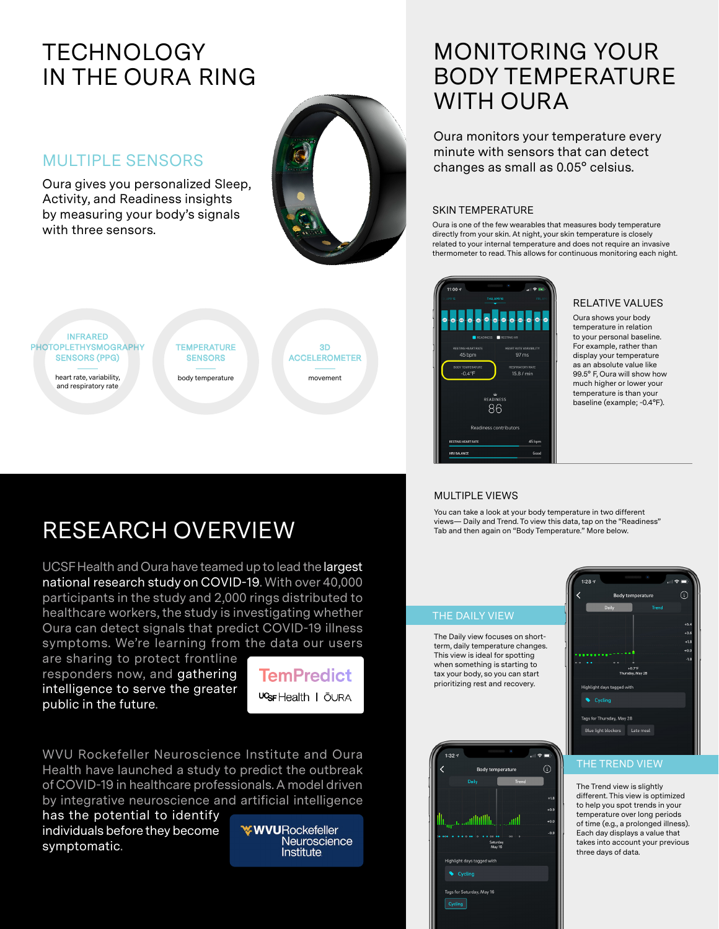# **TECHNOLOGY** IN THE OURA RING

# MULTIPLE SENSORS

Oura gives you personalized Sleep, Activity, and Readiness insights by measuring your body's signals with three sensors.





# RESEARCH OVERVIEW

UCSF Health and Oura have teamed up to lead the largest national research study on COVID-19. With over 40,000 participants in the study and 2,000 rings distributed to healthcare workers, the study is investigating whether Oura can detect signals that predict COVID-19 illness symptoms. We're learning from the data our users

are sharing to protect frontline responders now, and gathering intelligence to serve the greater public in the future.



WVU Rockefeller Neuroscience Institute and Oura Health have launched a study to predict the outbreak of COVID-19 in healthcare professionals. A model driven by integrative neuroscience and artificial intelligence

has the potential to identify individuals before they become symptomatic.

**WWURockefeller** Neuroscience Institute

# MONITORING YOUR BODY TEMPERATURE WITH OURA

Oura monitors your temperature every minute with sensors that can detect changes as small as 0.05° celsius.

### SKIN TEMPERATURE

Oura is one of the few wearables that measures body temperature directly from your skin. At night, your skin temperature is closely related to your internal temperature and does not require an invasive thermometer to read. This allows for continuous monitoring each night.



### RELATIVE VALUES

Oura shows your body temperature in relation to your personal baseline. For example, rather than display your temperature as an absolute value like 99.5° F, Oura will show how much higher or lower your temperature is than your baseline (example; -0.4°F).

### MULTIPLE VIEWS

You can take a look at your body temperature in two different views— Daily and Trend. To view this data, tap on the "Readiness" Tab and then again on "Body Temperature." More below.

### THE DAILY VIEW

The Daily view focuses on shortterm, daily temperature changes. This view is ideal for spotting when something is starting to tax your body, so you can start prioritizing rest and recovery.





### THE TREND VIEW

The Trend view is slightly different. This view is optimized to help you spot trends in your temperature over long periods of time (e.g., a prolonged illness). Each day displays a value that takes into account your previous three days of data.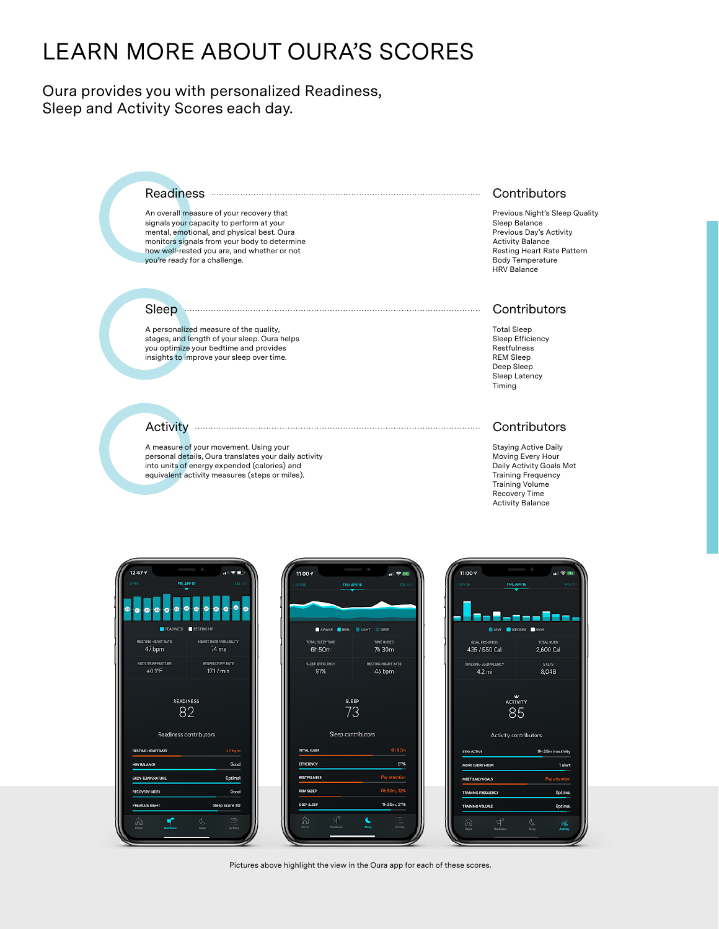# LEARN MORE ABOUT OURA'S SCORES

Oura provides you with personalized Readiness, Sleep and Activity Scores each day.

### Readiness

An overall measure of your recovery that signals your capacity to perform at your mental, emotional, and physical best. Oura monitors signals from your body to determine how well-rested you are, and whether or not you're ready for a challenge.

#### Sleep

A personalized measure of the quality, stages, and length of your sleep. Oura helps you optimize your bedtime and provides insights to improve your sleep over time.

#### **Activity**

A measure of your movement. Using your personal details, Oura translates your daily activity into units of energy expended (calories) and equivalent activity measures (steps or miles).

#### **Contributors**

Previous Night's Sleep Quality Sleep Balance Previous Day's Activity Activity Balance Resting Heart Rate Pattern Body Temperature HRV Balance

#### **Contributors**

Total Sleep Sleep Efficiency Restfulness REM Sleep Deep Sleep Sleep Latency Timing

#### Example 2011 Contributors

Staying Active Daily Moving Every Hour Daily Activity Goals Met Training Frequency Training Volume Recovery Time Activity Balance

| APR B<br>FRI, APR 10<br>47<br>G<br>Θ<br>$\bullet$<br>Ø<br>$\left  \mathbf{a} \right $<br>READINESS RESTING HR<br>RESTING HEART RATE<br>47 bpm | SAT, AP<br>$\overline{a}$<br>⊕<br>$\bullet$<br>⊕<br>G<br>G<br>HEART RATE VARIABILITY<br>74 ms |
|-----------------------------------------------------------------------------------------------------------------------------------------------|-----------------------------------------------------------------------------------------------|
|                                                                                                                                               |                                                                                               |
|                                                                                                                                               |                                                                                               |
|                                                                                                                                               |                                                                                               |
|                                                                                                                                               |                                                                                               |
| <b>BODY TEMPERATURE</b><br>$+0.1^{\circ}F$                                                                                                    | RESPIRATORY RATE<br>17.1 / min                                                                |
| <b>READINESS</b><br>82<br>Readiness contributors                                                                                              |                                                                                               |
| RESTING HEART RATE                                                                                                                            | 47 bpm                                                                                        |
| <b>HRV BALANCE</b>                                                                                                                            | Good                                                                                          |
| <b>BOOY TEMPERATURE</b>                                                                                                                       | Optimal                                                                                       |
| <b>RECOVERY INDEX</b>                                                                                                                         | Good                                                                                          |
| PREVIOUS NIGHT                                                                                                                                | Sleep score 80                                                                                |
| <b>Reading</b>                                                                                                                                | Activity                                                                                      |

| $11:00*$           |                           | $n \geq 0.0$       |
|--------------------|---------------------------|--------------------|
| <b>JPR 15</b>      | THU, APR 16               | FRI, APP           |
|                    |                           |                    |
|                    |                           |                    |
|                    |                           |                    |
|                    | AWAKE REM UDHT DEEP       |                    |
| TOTAL SLEEP TIME   |                           | TIME IN BED        |
| 6h 50m             |                           | 7h 30m             |
| SUZEP EFFICIENCY   |                           | RESTING HEART RATE |
| 91%                |                           | 45 bpm             |
|                    | 73                        |                    |
|                    | <b>Sleep contributors</b> |                    |
|                    |                           |                    |
| <b>TOTAL SLEEP</b> |                           | 6h 50m             |
| EFFICIENCY         |                           | 91%                |
| <b>RESTFULNESS</b> |                           | Pay attention      |
| <b>REM SLEEP</b>   |                           | 0h 50m, 12%        |
| <b>DEEP SUEEP</b>  |                           | 1h 26m, 21%        |
| ď<br>ω,            |                           | Activity           |



Pictures above highlight the view in the Oura app for each of these scores.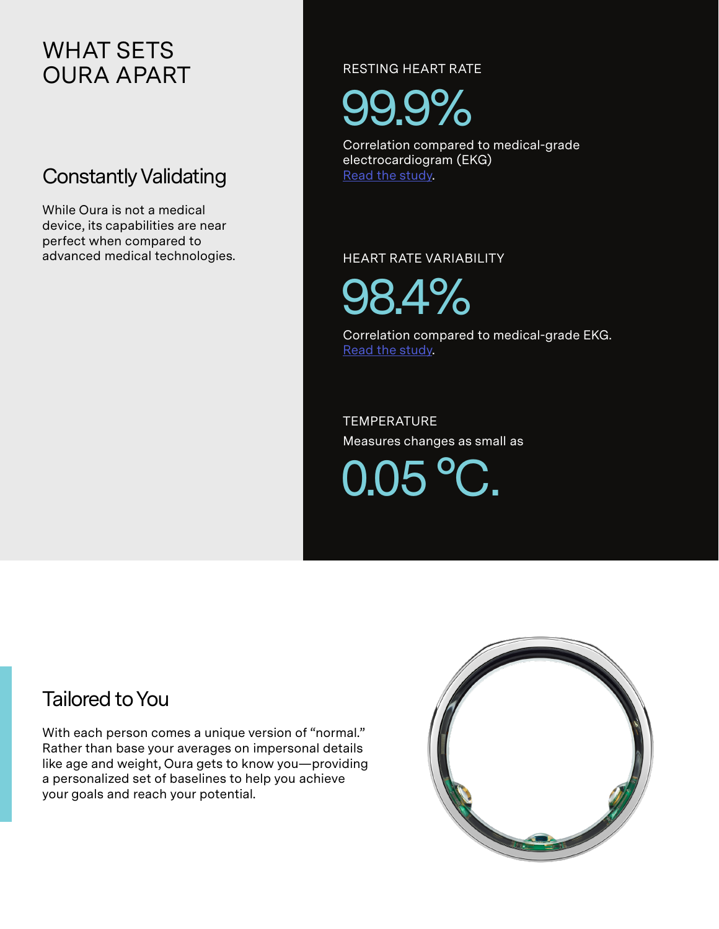# WHAT SETS OURA APART

# Constantly Validating

While Oura is not a medical device, its capabilities are near perfect when compared to advanced medical technologies. RESTING HEART RATE

99.9%

Correlation compared to medical-grade electrocardiogram (EKG) Read the study.

HEART RATE VARIABILITY

98.4%

Correlation compared to medical-grade EKG. Read the study.

**TEMPERATURE** Measures changes as small as

 $0.05$   $^{\circ}$ 

# Tailored to You

With each person comes a unique version of "normal." Rather than base your averages on impersonal details like age and weight, Oura gets to know you—providing a personalized set of baselines to help you achieve your goals and reach your potential.